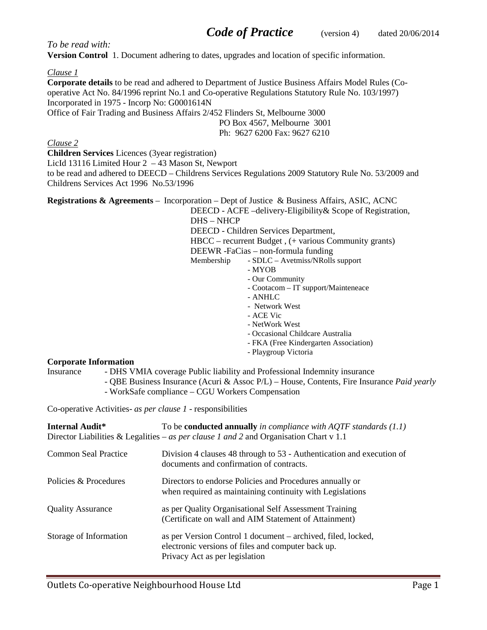*To be read with:*

**Version Control** 1. Document adhering to dates, upgrades and location of specific information.

#### *Clause 1*

**Corporate details** to be read and adhered to Department of Justice Business Affairs Model Rules (Cooperative Act No. 84/1996 reprint No.1 and Co-operative Regulations Statutory Rule No. 103/1997) Incorporated in 1975 - Incorp No: G0001614N Office of Fair Trading and Business Affairs 2/452 Flinders St, Melbourne 3000 PO Box 4567, Melbourne 3001

Ph: 9627 6200 Fax: 9627 6210

#### *Clause 2*

**Children Services** Licences (3year registration) LicId 13116 Limited Hour 2 – 43 Mason St, Newport

to be read and adhered to DEECD – Childrens Services Regulations 2009 Statutory Rule No. 53/2009 and Childrens Services Act 1996 No.53/1996

**Registrations & Agreements** – Incorporation – Dept of Justice & Business Affairs, ASIC, ACNC

DEECD - ACFE –delivery-Eligibility& Scope of Registration, DHS – NHCP

DEECD - Children Services Department,

HBCC – recurrent Budget , (+ various Community grants)

DEEWR -FaCias – non-formula funding

Membership - SDLC – Avetmiss/NRolls support

- MYOB
- Our Community
- Cootacom IT support/Mainteneace
- ANHLC
- Network West
- ACE Vic
- NetWork West
- Occasional Childcare Australia
- FKA (Free Kindergarten Association)
- Playgroup Victoria

### **Corporate Information**

- Insurance DHS VMIA coverage Public liability and Professional Indemnity insurance
	- QBE Business Insurance (Acuri & Assoc P/L) House, Contents, Fire Insurance *Paid yearly*
	- WorkSafe compliance CGU Workers Compensation

Co-operative Activities- *as per clause 1* - responsibilities

| <b>Internal Audit*</b>   | To be <b>conducted annually</b> in compliance with AQTF standards $(1.1)$<br>Director Liabilities & Legalities – as per clause 1 and 2 and Organisation Chart v 1.1 |
|--------------------------|---------------------------------------------------------------------------------------------------------------------------------------------------------------------|
| Common Seal Practice     | Division 4 clauses 48 through to 53 - Authentication and execution of<br>documents and confirmation of contracts.                                                   |
| Policies & Procedures    | Directors to endorse Policies and Procedures annually or<br>when required as maintaining continuity with Legislations                                               |
| <b>Quality Assurance</b> | as per Quality Organisational Self Assessment Training<br>(Certificate on wall and AIM Statement of Attainment)                                                     |
| Storage of Information   | as per Version Control 1 document – archived, filed, locked,<br>electronic versions of files and computer back up.<br>Privacy Act as per legislation                |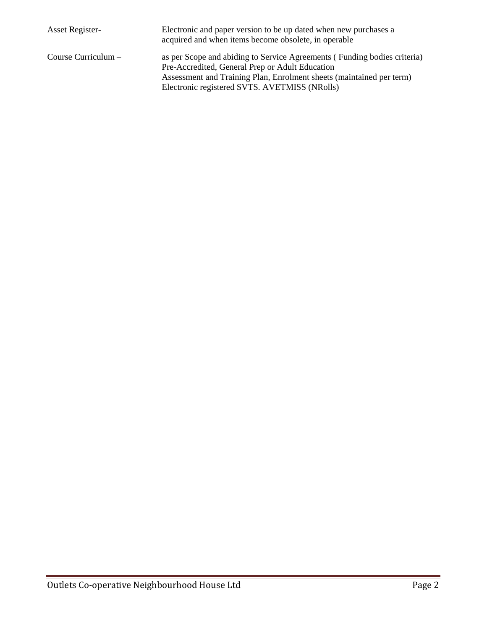| <b>Asset Register-</b> | Electronic and paper version to be up dated when new purchases a<br>acquired and when items become obsolete, in operable    |
|------------------------|-----------------------------------------------------------------------------------------------------------------------------|
| Course Curriculum $-$  | as per Scope and abiding to Service Agreements (Funding bodies criteria)<br>Pre-Accredited, General Prep or Adult Education |
|                        | Assessment and Training Plan, Enrolment sheets (maintained per term)                                                        |
|                        | Electronic registered SVTS. AVETMISS (NRolls)                                                                               |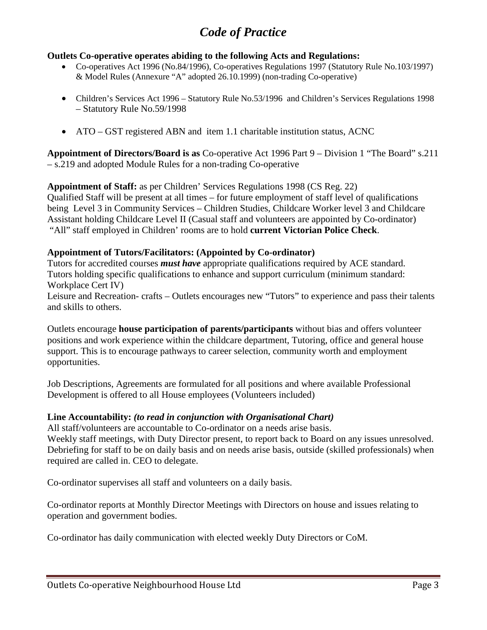# *Code of Practice*

## **Outlets Co-operative operates abiding to the following Acts and Regulations:**

- Co-operatives Act 1996 (No.84/1996), Co-operatives Regulations 1997 (Statutory Rule No.103/1997) & Model Rules (Annexure "A" adopted 26.10.1999) (non-trading Co-operative)
- Children's Services Act 1996 Statutory Rule No. 53/1996 and Children's Services Regulations 1998 – Statutory Rule No.59/1998
- ATO GST registered ABN and item 1.1 charitable institution status, ACNC

**Appointment of Directors/Board is as** Co-operative Act 1996 Part 9 – Division 1 "The Board" s.211 – s.219 and adopted Module Rules for a non-trading Co-operative

**Appointment of Staff:** as per Children' Services Regulations 1998 (CS Reg. 22)

Qualified Staff will be present at all times – for future employment of staff level of qualifications being Level 3 in Community Services – Children Studies, Childcare Worker level 3 and Childcare Assistant holding Childcare Level II (Casual staff and volunteers are appointed by Co-ordinator) "All" staff employed in Children' rooms are to hold **current Victorian Police Check**.

## **Appointment of Tutors/Facilitators: (Appointed by Co-ordinator)**

Tutors for accredited courses *must have* appropriate qualifications required by ACE standard. Tutors holding specific qualifications to enhance and support curriculum (minimum standard: Workplace Cert IV) Leisure and Recreation- crafts – Outlets encourages new "Tutors" to experience and pass their talents and skills to others.

Outlets encourage **house participation of parents/participants** without bias and offers volunteer positions and work experience within the childcare department, Tutoring, office and general house support. This is to encourage pathways to career selection, community worth and employment opportunities.

Job Descriptions, Agreements are formulated for all positions and where available Professional Development is offered to all House employees (Volunteers included)

## **Line Accountability:** *(to read in conjunction with Organisational Chart)*

All staff/volunteers are accountable to Co-ordinator on a needs arise basis.

Weekly staff meetings, with Duty Director present, to report back to Board on any issues unresolved. Debriefing for staff to be on daily basis and on needs arise basis, outside (skilled professionals) when required are called in. CEO to delegate.

Co-ordinator supervises all staff and volunteers on a daily basis.

Co-ordinator reports at Monthly Director Meetings with Directors on house and issues relating to operation and government bodies.

Co-ordinator has daily communication with elected weekly Duty Directors or CoM.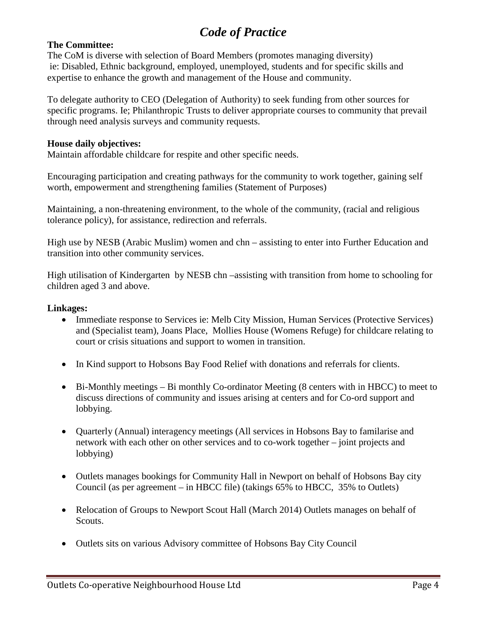# *Code of Practice*

## **The Committee:**

The CoM is diverse with selection of Board Members (promotes managing diversity) ie: Disabled, Ethnic background, employed, unemployed, students and for specific skills and expertise to enhance the growth and management of the House and community.

To delegate authority to CEO (Delegation of Authority) to seek funding from other sources for specific programs. Ie; Philanthropic Trusts to deliver appropriate courses to community that prevail through need analysis surveys and community requests.

#### **House daily objectives:**

Maintain affordable childcare for respite and other specific needs.

Encouraging participation and creating pathways for the community to work together, gaining self worth, empowerment and strengthening families (Statement of Purposes)

Maintaining, a non-threatening environment, to the whole of the community, (racial and religious tolerance policy), for assistance, redirection and referrals.

High use by NESB (Arabic Muslim) women and chn – assisting to enter into Further Education and transition into other community services.

High utilisation of Kindergarten by NESB chn –assisting with transition from home to schooling for children aged 3 and above.

### **Linkages:**

- Immediate response to Services ie: Melb City Mission, Human Services (Protective Services) and (Specialist team), Joans Place, Mollies House (Womens Refuge) for childcare relating to court or crisis situations and support to women in transition.
- In Kind support to Hobsons Bay Food Relief with donations and referrals for clients.
- Bi-Monthly meetings Bi monthly Co-ordinator Meeting (8 centers with in HBCC) to meet to discuss directions of community and issues arising at centers and for Co-ord support and lobbying.
- Quarterly (Annual) interagency meetings (All services in Hobsons Bay to familarise and network with each other on other services and to co-work together – joint projects and lobbying)
- Outlets manages bookings for Community Hall in Newport on behalf of Hobsons Bay city Council (as per agreement – in HBCC file) (takings 65% to HBCC, 35% to Outlets)
- Relocation of Groups to Newport Scout Hall (March 2014) Outlets manages on behalf of Scouts.
- Outlets sits on various Advisory committee of Hobsons Bay City Council